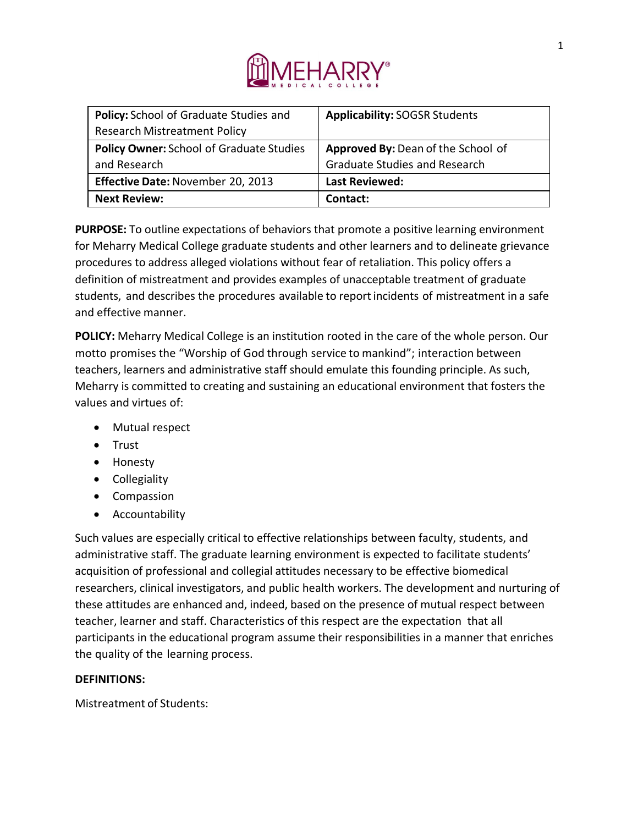

| Policy: School of Graduate Studies and          | <b>Applicability: SOGSR Students</b> |
|-------------------------------------------------|--------------------------------------|
| <b>Research Mistreatment Policy</b>             |                                      |
| <b>Policy Owner: School of Graduate Studies</b> | Approved By: Dean of the School of   |
| and Research                                    | <b>Graduate Studies and Research</b> |
| Effective Date: November 20, 2013               | <b>Last Reviewed:</b>                |
| <b>Next Review:</b>                             | Contact:                             |

**PURPOSE:** To outline expectations of behaviors that promote a positive learning environment for Meharry Medical College graduate students and other learners and to delineate grievance procedures to address alleged violations without fear of retaliation. This policy offers a definition of mistreatment and provides examples of unacceptable treatment of graduate students, and describes the procedures available to reportincidents of mistreatment in a safe and effective manner.

**POLICY:** Meharry Medical College is an institution rooted in the care of the whole person. Our motto promises the "Worship of God through service to mankind"; interaction between teachers, learners and administrative staff should emulate this founding principle. As such, Meharry is committed to creating and sustaining an educational environment that fosters the values and virtues of:

- Mutual respect
- Trust
- Honesty
- Collegiality
- Compassion
- Accountability

Such values are especially critical to effective relationships between faculty, students, and administrative staff. The graduate learning environment is expected to facilitate students' acquisition of professional and collegial attitudes necessary to be effective biomedical researchers, clinical investigators, and public health workers. The development and nurturing of these attitudes are enhanced and, indeed, based on the presence of mutual respect between teacher, learner and staff. Characteristics of this respect are the expectation that all participants in the educational program assume their responsibilities in a manner that enriches the quality of the learning process.

# **DEFINITIONS:**

Mistreatment of Students: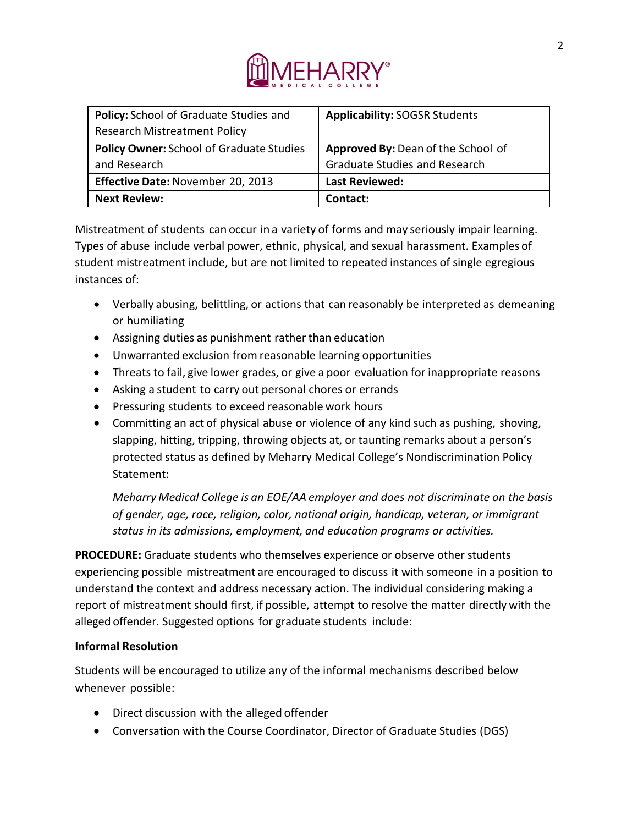

| Policy: School of Graduate Studies and          | <b>Applicability: SOGSR Students</b> |
|-------------------------------------------------|--------------------------------------|
| <b>Research Mistreatment Policy</b>             |                                      |
| <b>Policy Owner: School of Graduate Studies</b> | Approved By: Dean of the School of   |
| and Research                                    | <b>Graduate Studies and Research</b> |
| Effective Date: November 20, 2013               | <b>Last Reviewed:</b>                |
| <b>Next Review:</b>                             | Contact:                             |

Mistreatment of students can occur in a variety of forms and may seriously impair learning. Types of abuse include verbal power, ethnic, physical, and sexual harassment. Examples of student mistreatment include, but are not limited to repeated instances of single egregious instances of:

- Verbally abusing, belittling, or actions that can reasonably be interpreted as demeaning or humiliating
- Assigning duties as punishment rather than education
- Unwarranted exclusion from reasonable learning opportunities
- Threats to fail, give lower grades, or give a poor evaluation for inappropriate reasons
- Asking a student to carry out personal chores or errands
- Pressuring students to exceed reasonable work hours
- Committing an act of physical abuse or violence of any kind such as pushing, shoving, slapping, hitting, tripping, throwing objects at, or taunting remarks about a person's protected status as defined by Meharry Medical College's Nondiscrimination Policy Statement:

*Meharry Medical College is an EOE/AA employer and does not discriminate on the basis of gender, age, race, religion, color, national origin, handicap, veteran, or immigrant status in its admissions, employment, and education programs or activities.*

**PROCEDURE:** Graduate students who themselves experience or observe other students experiencing possible mistreatment are encouraged to discuss it with someone in a position to understand the context and address necessary action. The individual considering making a report of mistreatment should first, if possible, attempt to resolve the matter directly with the alleged offender. Suggested options for graduate students include:

## **Informal Resolution**

Students will be encouraged to utilize any of the informal mechanisms described below whenever possible:

- Direct discussion with the alleged offender
- Conversation with the Course Coordinator, Director of Graduate Studies (DGS)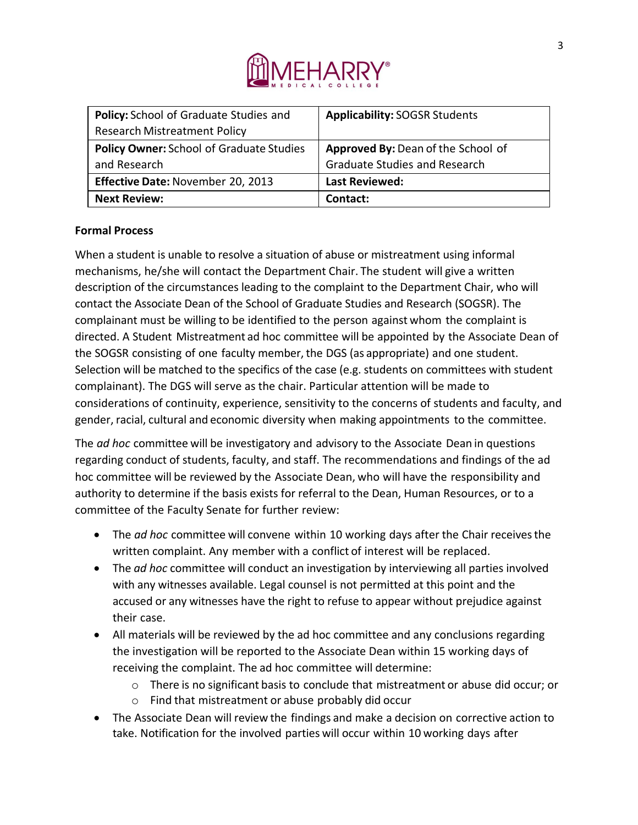

| Policy: School of Graduate Studies and          | <b>Applicability: SOGSR Students</b> |
|-------------------------------------------------|--------------------------------------|
| <b>Research Mistreatment Policy</b>             |                                      |
| <b>Policy Owner: School of Graduate Studies</b> | Approved By: Dean of the School of   |
| and Research                                    | <b>Graduate Studies and Research</b> |
| Effective Date: November 20, 2013               | <b>Last Reviewed:</b>                |
| <b>Next Review:</b>                             | Contact:                             |

## **Formal Process**

When a student is unable to resolve a situation of abuse or mistreatment using informal mechanisms, he/she will contact the Department Chair. The student will give a written description of the circumstances leading to the complaint to the Department Chair, who will contact the Associate Dean of the School of Graduate Studies and Research (SOGSR). The complainant must be willing to be identified to the person against whom the complaint is directed. A Student Mistreatment ad hoc committee will be appointed by the Associate Dean of the SOGSR consisting of one faculty member, the DGS (as appropriate) and one student. Selection will be matched to the specifics of the case (e.g. students on committees with student complainant). The DGS will serve as the chair. Particular attention will be made to considerations of continuity, experience, sensitivity to the concerns of students and faculty, and gender, racial, cultural and economic diversity when making appointments to the committee.

The *ad hoc* committee will be investigatory and advisory to the Associate Dean in questions regarding conduct of students, faculty, and staff. The recommendations and findings of the ad hoc committee will be reviewed by the Associate Dean, who will have the responsibility and authority to determine if the basis exists for referral to the Dean, Human Resources, or to a committee of the Faculty Senate for further review:

- The *ad hoc* committee will convene within 10 working days after the Chair receivesthe written complaint. Any member with a conflict of interest will be replaced.
- The *ad hoc* committee will conduct an investigation by interviewing all parties involved with any witnesses available. Legal counsel is not permitted at this point and the accused or any witnesses have the right to refuse to appear without prejudice against their case.
- All materials will be reviewed by the ad hoc committee and any conclusions regarding the investigation will be reported to the Associate Dean within 15 working days of receiving the complaint. The ad hoc committee will determine:
	- $\circ$  There is no significant basis to conclude that mistreatment or abuse did occur; or
	- o Find that mistreatment or abuse probably did occur
- The Associate Dean will review the findings and make a decision on corrective action to take. Notification for the involved parties will occur within 10 working days after